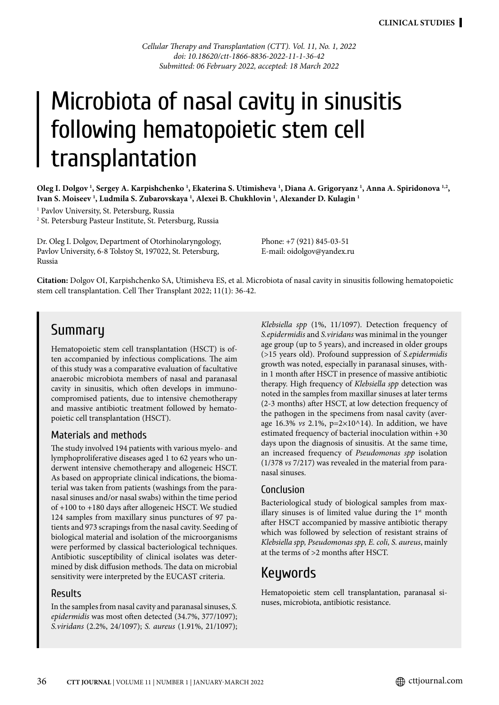*Cellular Therapy and Transplantation (CTT). Vol. 11, No. 1, 2022 doi: 10.18620/ctt-1866-8836-2022-11-1-36-42 Submitted: 06 February 2022, accepted: 18 March 2022*

# Microbiota of nasal cavity in sinusitis following hematopoietic stem cell transplantation

Oleg I. Dolgov <sup>1</sup>, Sergey A. Karpishchenko <sup>1</sup>, Ekaterina S. Utimisheva <sup>1</sup>, Diana A. Grigoryanz <sup>1</sup>, Anna A. Spiridonova <sup>1,2</sup>, **Ivan S. Moiseev 1 , Ludmila S. Zubarovskaya 1 , Alexei B. Chukhlovin 1 , Alexander D. Kulagin 1**

1 Pavlov University, St. Petersburg, Russia

2 St. Petersburg Pasteur Institute, St. Petersburg, Russia

Dr. Oleg I. Dolgov, Department of Otorhinolaryngology, Pavlov University, 6-8 Tolstoy St, 197022, St. Petersburg, Russia

Phone: +7 (921) 845-03-51 E-mail: oidolgov@yandex.ru

**Citation:** Dolgov OI, Karpishchenko SA, Utimisheva ES, et al. Microbiota of nasal cavity in sinusitis following hematopoietic stem cell transplantation. Cell Ther Transplant 2022; 11(1): 36-42.

### **Summary**

Hematopoietic stem cell transplantation (HSCT) is often accompanied by infectious complications. The aim of this study was a comparative evaluation of facultative anaerobic microbiota members of nasal and paranasal cavity in sinusitis, which often develops in immunocompromised patients, due to intensive chemotherapy and massive antibiotic treatment followed by hematopoietic cell transplantation (HSCT).

### Materials and methods

The study involved 194 patients with various myelo- and lymphoproliferative diseases aged 1 to 62 years who underwent intensive chemotherapy and allogeneic HSCT. As based on appropriate clinical indications, the biomaterial was taken from patients (washings from the paranasal sinuses and/or nasal swabs) within the time period of +100 to +180 days after allogeneic HSCT. We studied 124 samples from maxillary sinus punctures of 97 patients and 973 scrapings from the nasal cavity. Seeding of biological material and isolation of the microorganisms were performed by classical bacteriological techniques. Antibiotic susceptibility of clinical isolates was determined by disk diffusion methods. The data on microbial sensitivity were interpreted by the EUCAST criteria.

### Results

In the samples from nasal cavity and paranasal sinuses, *S. epidermidis* was most often detected (34.7%, 377/1097); *S.viridans* (2.2%, 24/1097); *S. aureus* (1.91%, 21/1097); *Klebsiella spp* (1%, 11/1097). Detection frequency of *S.epidermidis* and *S.viridans* was minimal in the younger age group (up to 5 years), and increased in older groups (>15 years old). Profound suppression of *S.epidermidis*  growth was noted, especially in paranasal sinuses, within 1 month after HSCT in presence of massive antibiotic therapy. High frequency of *Klebsiella spp* detection was noted in the samples from maxillar sinuses at later terms (2-3 months) after HSCT, at low detection frequency of the pathogen in the specimens from nasal cavity (average 16.3% *vs* 2.1%, p=2×10^14). In addition, we have estimated frequency of bacterial inoculation within +30 days upon the diagnosis of sinusitis. At the same time, an increased frequency of *Pseudomonas spp* isolation (1/378 *vs* 7/217) was revealed in the material from paranasal sinuses.

### Conclusion

Bacteriological study of biological samples from maxillary sinuses is of limited value during the  $1<sup>st</sup>$  month after HSCT accompanied by massive antibiotic therapy which was followed by selection of resistant strains of *Klebsiella spp, Pseudomonas spp, E. coli, S. aureus*, mainly at the terms of >2 months after HSCT.

### Keywords

Hematopoietic stem cell transplantation, paranasal sinuses, microbiota, antibiotic resistance.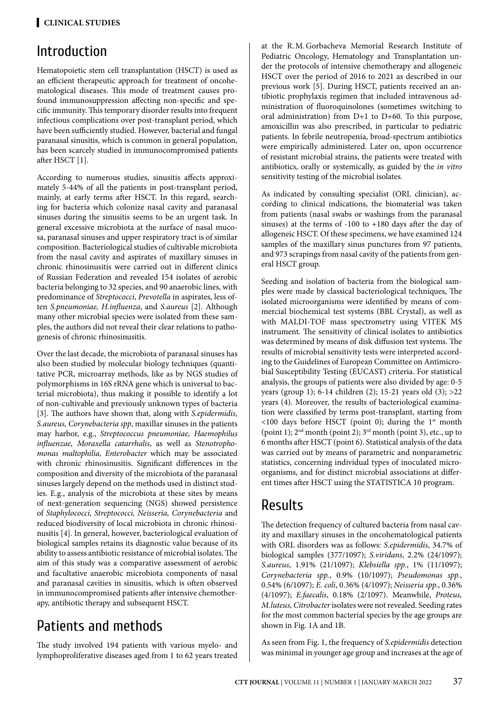# Introduction

Hematopoietic stem cell transplantation (HSCT) is used as an efficient therapeutic approach for treatment of oncohematological diseases. This mode of treatment causes profound immunosuppression affecting non-specific and specific immunity. This temporary disorder results into frequent infectious complications over post-transplant period, which have been sufficiently studied. However, bacterial and fungal paranasal sinusitis, which is common in general population, has been scarcely studied in immunocompromised patients after HSCT [1].

According to numerous studies, sinusitis affects approximately 5-44% of all the patients in post-transplant period, mainly, at early terms after HSCT. In this regard, searching for bacteria which colonize nasal cavity and paranasal sinuses during the sinusitis seems to be an urgent task. In general excessive microbiota at the surface of nasal mucosa, paranasal sinuses and upper respiratory tract is of similar composition. Bacteriological studies of cultivable microbiota from the nasal cavity and aspirates of maxillary sinuses in chronic rhinosinusitis were carried out in different clinics of Russian Federation and revealed 154 isolates of aerobic bacteria belonging to 32 species, and 90 anaerobic lines, with predominance of *Streptococci*, *Prevotella* in aspirates, less often *S.pneumoniae, H.influenza*, and *S.aureus* [2]. Although many other microbial species were isolated from these samples, the authors did not reveal their clear relations to pathogenesis of chronic rhinosinusitis.

Over the last decade, the microbiota of paranasal sinuses has also been studied by molecular biology techniques (quantitative PCR, microarray methods, like as by NGS studies of polymorphisms in 16S rRNA gene which is universal to bacterial microbiota), thus making it possible to identify a lot of non-cultivable and previously unknown types of bacteria [3]. The authors have shown that, along with *S.epidermidis, S.aureus, Corynebacteria spp*, maxillar sinuses in the patients may harbor, e.g., *Streptococcus pneumoniae, Haemophilus influenzae, Moraxella catarrhalis*, as well as *Stenotrophomonas maltophilia, Enterobacter* which may be associated with chronic rhinosinusitis. Significant differences in the composition and diversity of the microbiota of the paranasal sinuses largely depend on the methods used in distinct studies. E.g., analysis of the microbiota at these sites by means of next-generation sequencing (NGS) showed persistence of *Staphylococci, Streptococci, Neisseria, Corynebacteria* and reduced biodiversity of local microbiota in chronic rhinosinusitis [4]. In general, however, bacteriological evaluation of biological samples retains its diagnostic value because of its ability to assess antibiotic resistance of microbial isolates. The aim of this study was a comparative assessment of aerobic and facultative anaerobic microbiota components of nasal and paranasal cavities in sinusitis, which is often observed in immunocompromised patients after intensive chemotherapy, antibiotic therapy and subsequent HSCT.

# Patients and methods

The study involved 194 patients with various myelo- and lymphoproliferative diseases aged from 1 to 62 years treated at the R.M.Gorbacheva Memorial Research Institute of Pediatric Oncology, Hematology and Transplantation under the protocols of intensive chemotherapy and allogeneic HSCT over the period of 2016 to 2021 as described in our previous work [5]. During HSCT, patients received an antibiotic prophylaxis regimen that included intravenous administration of fluoroquinolones (sometimes switching to oral administration) from D+1 to D+60. To this purpose, amoxicillin was also prescribed, in particular to pediatric patients. In febrile neutropenia, broad-spectrum antibiotics were empirically administered. Later on, upon occurrence of resistant microbial strains, the patients were treated with antibiotics, orally or systemically, as guided by the *in vitro* sensitivity testing of the microbial isolates.

As indicated by consulting specialist (ORL clinician), according to clinical indications, the biomaterial was taken from patients (nasal swabs or washings from the paranasal sinuses) at the terms of -100 to +180 days after the day of allogeneic HSCT. Of these specimens, we have examined 124 samples of the maxillary sinus punctures from 97 patients, and 973 scrapings from nasal cavity of the patients from general HSCT group.

Seeding and isolation of bacteria from the biological samples were made by classical bacteriological techniques, The isolated microorganisms were identified by means of commercial biochemical test systems (BBL Crystal), as well as with MALDI-TOF mass spectrometry using VITEK MS instrument. The sensitivity of clinical isolates to antibiotics was determined by means of disk diffusion test systems. The results of microbial sensitivity tests were interpreted according to the Guidelines of European Committee on Antimicrobial Susceptibility Testing (EUCAST) criteria. For statistical analysis, the groups of patients were also divided by age: 0-5 years (group 1); 6-14 children (2); 15-21 years old (3); >22 years (4). Moreover, the results of bacteriological examination were classified by terms post-transplant, starting from  $\leq$ 100 days before HSCT (point 0); during the 1<sup>st</sup> month (point 1); 2nd month (point 2); 3rd month (point 3), etc., up to 6 months after HSCT (point 6). Statistical analysis of the data was carried out by means of parametric and nonparametric statistics, concerning individual types of inoculated microorganisms, and for distinct microbial associations at different times after HSCT using the STATISTICA 10 program.

# Results

The detection frequency of cultured bacteria from nasal cavity and maxillary sinuses in the oncohematological patients with ORL disorders was as follows: *S.epidermidis*, 34.7% of biological samples (377/1097); *S.viridans*, 2.2% (24/1097); *S.aureus*, 1.91% (21/1097); *Klebsiella spp.*, 1% (11/1097); *Corynebacteria spp.*, 0.9% (10/1097); *Pseudomonas spp.*, 0.54% (6/1097); *E. coli*, 0.36% (4/1097); *Neisseria spp.*, 0.36% (4/1097); *E.faecalis*, 0.18% (2/1097). Meanwhile, *Proteus, M.luteus, Citrobacter* isolates were not revealed. Seeding rates for the most common bacterial species by the age groups are shown in Fig. 1A and 1B.

As seen from Fig. 1, the frequency of *S.epidermidis* detection was minimal in younger age group and increases at the age of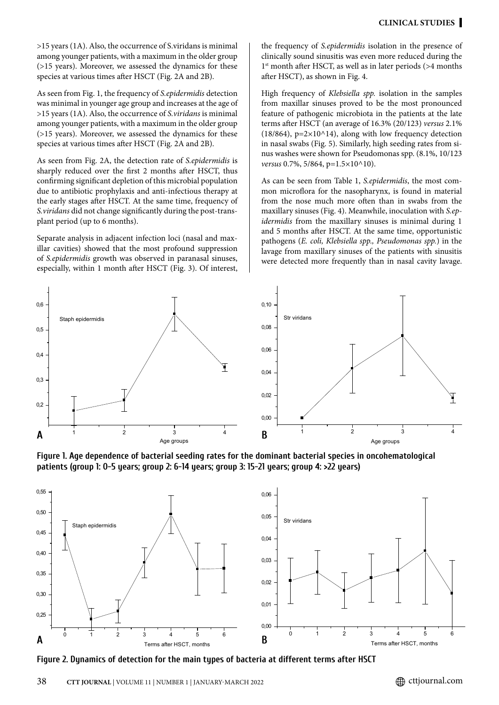>15 years (1A). Also, the occurrence of S.viridans is minimal among younger patients, with a maximum in the older group (>15 years). Moreover, we assessed the dynamics for these species at various times after HSCT (Fig. 2A and 2B).

As seen from Fig. 1, the frequency of *S.epidermidis* detection was minimal in younger age group and increases at the age of >15 years (1A). Also, the occurrence of *S.viridans* is minimal among younger patients, with a maximum in the older group (>15 years). Moreover, we assessed the dynamics for these species at various times after HSCT (Fig. 2A and 2B).

As seen from Fig. 2A, the detection rate of *S.epidermidis* is sharply reduced over the first 2 months after HSCT, thus confirming significant depletion of this microbial population due to antibiotic prophylaxis and anti-infectious therapy at the early stages after HSCT. At the same time, frequency of *S.viridans* did not change significantly during the post-transplant period (up to 6 months).

Separate analysis in adjacent infection loci (nasal and maxillar cavities) showed that the most profound suppression of *S.epidermidis* growth was observed in paranasal sinuses, especially, within 1 month after HSCT (Fig. 3). Of interest, the frequency of *S.epidermidis* isolation in the presence of clinically sound sinusitis was even more reduced during the 1<sup>st</sup> month after HSCT, as well as in later periods (>4 months after HSCT), as shown in Fig. 4.

High frequency of *Klebsiella spp.* isolation in the samples from maxillar sinuses proved to be the most pronounced feature of pathogenic microbiota in the patients at the late terms after HSCT (an average of 16.3% (20/123) *versus* 2.1%  $(18/864)$ , p=2×10^14), along with low frequency detection in nasal swabs (Fig. 5). Similarly, high seeding rates from sinus washes were shown for Pseudomonas spp. (8.1%, 10/123 *versus* 0.7%, 5/864, p=1.5×10^10).

As can be seen from Table 1, *S.epidermidis*, the most common microflora for the nasopharynx, is found in material from the nose much more often than in swabs from the maxillary sinuses (Fig. 4). Meanwhile, inoculation with *S.epidermidis* from the maxillary sinuses is minimal during 1 and 5 months after HSCT. At the same time, opportunistic pathogens (*E. coli, Klebsiella spp., Pseudomonas spp.*) in the lavage from maxillary sinuses of the patients with sinusitis were detected more frequently than in nasal cavity lavage.



**Figure 1. Age dependence of bacterial seeding rates for the dominant bacterial species in oncohematological patients (group 1: 0-5 years; group 2: 6-14 years; group 3: 15-21 years; group 4: >22 years)**



**Figure 2. Dynamics of detection for the main types of bacteria at different terms after HSCT**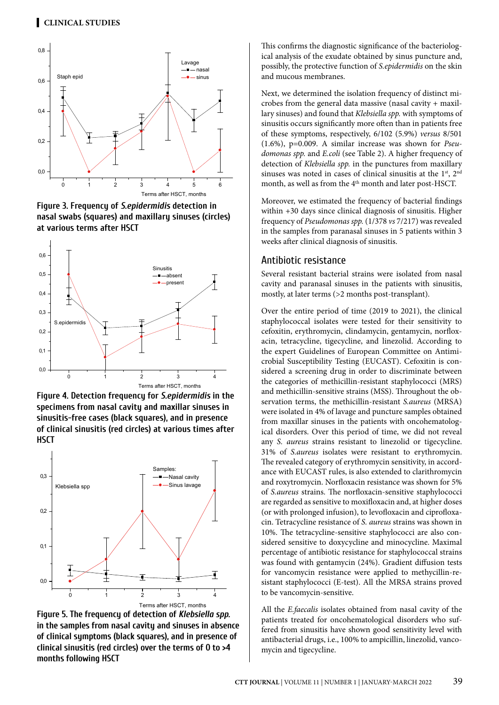

**Figure 3. Frequency of** *S.epidermidis* **detection in nasal swabs (squares) and maxillary sinuses (circles) at various terms after HSCT**



**Figure 4. Detection frequency for** *S.epidermidis* **in the specimens from nasal cavity and maxillar sinuses in sinusitis-free cases (black squares), and in presence of clinical sinusitis (red circles) at various times after HSCT**



**Figure 5. The frequency of detection of** *Klebsiella spp.* **in the samples from nasal cavity and sinuses in absence of clinical symptoms (black squares), and in presence of clinical sinusitis (red circles) over the terms of 0 to >4 months following HSCT**

This confirms the diagnostic significance of the bacteriological analysis of the exudate obtained by sinus puncture and, possibly, the protective function of *S.epidermidis* on the skin and mucous membranes.

Next, we determined the isolation frequency of distinct microbes from the general data massive (nasal cavity + maxillary sinuses) and found that *Klebsiella spp.* with symptoms of sinusitis occurs significantly more often than in patients free of these symptoms, respectively, 6/102 (5.9%) *versus* 8/501 (1.6%), p=0.009. A similar increase was shown for *Pseudomonas spp.* and *E.coli* (see Table 2). A higher frequency of detection of *Klebsiella spp.* in the punctures from maxillary sinuses was noted in cases of clinical sinusitis at the  $1<sup>st</sup>$ ,  $2<sup>nd</sup>$ month, as well as from the 4<sup>th</sup> month and later post-HSCT.

Moreover, we estimated the frequency of bacterial findings within +30 days since clinical diagnosis of sinusitis. Higher frequency of *Pseudomonas spp.* (1/378 *vs* 7/217) was revealed in the samples from paranasal sinuses in 5 patients within 3 weeks after clinical diagnosis of sinusitis.

### Antibiotic resistance

Several resistant bacterial strains were isolated from nasal cavity and paranasal sinuses in the patients with sinusitis, mostly, at later terms (>2 months post-transplant).

Over the entire period of time (2019 to 2021), the clinical staphylococcal isolates were tested for their sensitivity to cefoxitin, erythromycin, clindamycin, gentamycin, norfloxacin, tetracycline, tigecycline, and linezolid. According to the expert Guidelines of European Committee on Antimicrobial Susceptibility Testing (EUCAST). Cefoxitin is considered a screening drug in order to discriminate between the categories of methicillin-resistant staphylococci (MRS) and methicillin-sensitive strains (MSS). Throughout the observation terms, the methicillin-resistant *S.aureus* (MRSA) were isolated in 4% of lavage and puncture samples obtained from maxillar sinuses in the patients with oncohematological disorders. Over this period of time, we did not reveal any *S. aureus* strains resistant to linezolid or tigecycline. 31% of *S.aureus* isolates were resistant to erythromycin. The revealed category of erythromycin sensitivity, in accordance with EUCAST rules, is also extended to clarithromycin and roxytromycin. Norfloxacin resistance was shown for 5% of *S.aureus* strains. The norfloxacin-sensitive staphylococci are regarded as sensitive to moxifloxacin and, at higher doses (or with prolonged infusion), to levofloxacin and ciprofloxacin. Tetracycline resistance of *S. aureus* strains was shown in 10%. The tetracycline-sensitive staphylococci are also considered sensitive to doxycycline and minocycline. Maximal percentage of antibiotic resistance for staphylococcal strains was found with gentamycin (24%). Gradient diffusion tests for vancomycin resistance were applied to methycillin-resistant staphylococci (E-test). All the MRSA strains proved to be vancomycin-sensitive.

All the *E.faecalis* isolates obtained from nasal cavity of the patients treated for oncohematological disorders who suffered from sinusitis have shown good sensitivity level with antibacterial drugs, i.e., 100% to ampicillin, linezolid, vancomycin and tigecycline.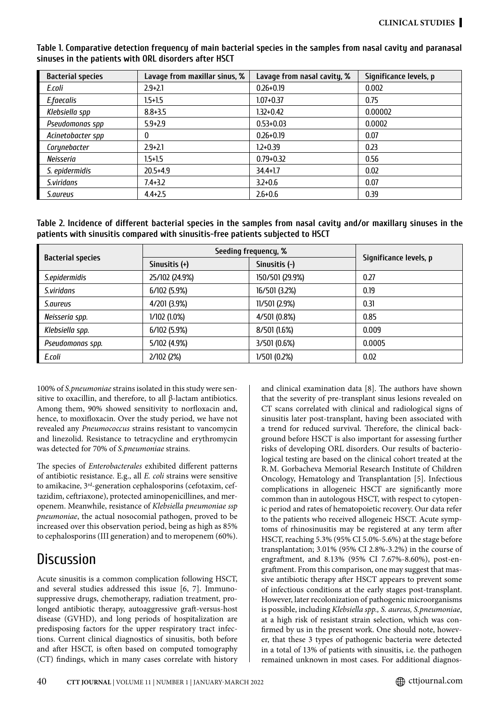**Table 1. Comparative detection frequency of main bacterial species in the samples from nasal cavity and paranasal sinuses in the patients with ORL disorders after HSCT**

| <b>Bacterial species</b> | Lavage from maxillar sinus, % | Lavage from nasal cavity, % | Significance levels, p |
|--------------------------|-------------------------------|-----------------------------|------------------------|
| E.coli                   | $2.9 + 2.1$                   | $0.26 + 0.19$               | 0.002                  |
| E.faecalis               | $1.5 + 1.5$                   | $1.07 + 0.37$               | 0.75                   |
| Klebsiella spp           | $8.8 + 3.5$                   | $1.32 + 0.42$               | 0.00002                |
| Pseudomonas spp          | $5.9 + 2.9$                   | $0.53 + 0.03$               | 0.0002                 |
| Acinetobacter spp        | 0                             | $0.26 + 0.19$               | 0.07                   |
| Corynebacter             | $2.9 + 2.1$                   | $1.2 + 0.39$                | 0.23                   |
| Neisseria                | $1.5 + 1.5$                   | $0.79 + 0.32$               | 0.56                   |
| S. epidermidis           | $20.5 + 4.9$                  | $34.4 + 1.7$                | 0.02                   |
| S.viridans               | $7.4 + 3.2$                   | $3.2 + 0.6$                 | 0.07                   |
| <i>S.aureus</i>          | $4.4 + 2.5$                   | $2.6 + 0.6$                 | 0.39                   |

**Table 2. Incidence of different bacterial species in the samples from nasal cavity and/or maxillary sinuses in the patients with sinusitis compared with sinusitis-free patients subjected to HSCT**

| <b>Bacterial species</b> | Seeding frequency, % |                 |                        |
|--------------------------|----------------------|-----------------|------------------------|
|                          | Sinusitis $(+)$      | Sinusitis $(-)$ | Significance levels, p |
| S.epidermidis            | 25/102 (24.9%)       | 150/501 (29.9%) | 0.27                   |
| S.viridans               | 6/102(5.9%)          | 16/501 (3.2%)   | 0.19                   |
| <i>S.aureus</i>          | 4/201 (3.9%)         | 11/501 (2.9%)   | 0.31                   |
| Neisseria spp.           | 1/102 (1.0%)         | 4/501 (0.8%)    | 0.85                   |
| Klebsiella spp.          | 6/102(5.9%)          | 8/501 (1.6%)    | 0.009                  |
| Pseudomonas spp.         | 5/102 (4.9%)         | 3/501 (0.6%)    | 0.0005                 |
| E.coli                   | 2/102 (2%)           | 1/501 (0.2%)    | 0.02                   |

100% of *S.pneumoniae* strains isolated in this study were sensitive to oxacillin, and therefore, to all β-lactam antibiotics. Among them, 90% showed sensitivity to norfloxacin and, hence, to moxifloxacin. Over the study period, we have not revealed any *Pneumococcus* strains resistant to vancomycin and linezolid. Resistance to tetracycline and erythromycin was detected for 70% of *S.pneumoniae* strains.

The species of *Enterobacterales* exhibited different patterns of antibiotic resistance. E.g., all *E. coli* strains were sensitive to amikacine, 3rd-generation cephalosporins (cefotaxim, ceftazidim, ceftriaxone), protected aminopenicillines, and meropenem. Meanwhile, resistance of *Klebsiella pneumoniae ssp pneumoniae*, the actual nosocomial pathogen, proved to be increased over this observation period, being as high as 85% to cephalosporins (III generation) and to meropenem (60%).

# **Discussion**

Acute sinusitis is a common complication following HSCT, and several studies addressed this issue [6, 7]. Immunosuppressive drugs, chemotherapy, radiation treatment, prolonged antibiotic therapy, autoaggressive graft-versus-host disease (GVHD), and long periods of hospitalization are predisposing factors for the upper respiratory tract infections. Current clinical diagnostics of sinusitis, both before and after HSCT, is often based on computed tomography (CT) findings, which in many cases correlate with history and clinical examination data [8]. The authors have shown that the severity of pre-transplant sinus lesions revealed on CT scans correlated with clinical and radiological signs of sinusitis later post-transplant, having been associated with a trend for reduced survival. Therefore, the clinical background before HSCT is also important for assessing further risks of developing ORL disorders. Our results of bacteriological testing are based on the clinical cohort treated at the R.M. Gorbacheva Memorial Research Institute of Children Oncology, Hematology and Transplantation [5]. Infectious complications in allogeneic HSCT are significantly more common than in autologous HSCT, with respect to cytopenic period and rates of hematopoietic recovery. Our data refer to the patients who received allogeneic HSCT. Acute symptoms of rhinosinusitis may be registered at any term after HSCT, reaching 5.3% (95% CI 5.0%-5.6%) at the stage before transplantation; 3.01% (95% CI 2.8%-3.2%) in the course of engraftment, and 8.13% (95% CI 7.67%-8.60%), post-engraftment. From this comparison, one may suggest that massive antibiotic therapy after HSCT appears to prevent some of infectious conditions at the early stages post-transplant. However, later recolonization of pathogenic microorganisms is possible, including *Klebsiella spp., S. aureus, S.pneumoniae*, at a high risk of resistant strain selection, which was confirmed by us in the present work. One should note, however, that these 3 types of pathogenic bacteria were detected in a total of 13% of patients with sinusitis, i.e. the pathogen remained unknown in most cases. For additional diagnos-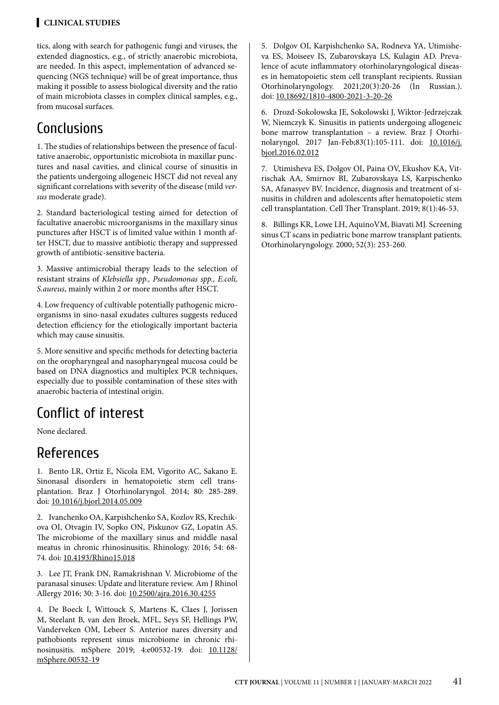### **Clinical STUDIES**

tics, along with search for pathogenic fungi and viruses, the extended diagnostics, e.g., of strictly anaerobic microbiota, are needed. In this aspect, implementation of advanced sequencing (NGS technique) will be of great importance, thus making it possible to assess biological diversity and the ratio of main microbiota classes in complex clinical samples, e.g., from mucosal surfaces.

# Conclusions

1. The studies of relationships between the presence of facultative anaerobic, opportunistic microbiota in maxillar punctures and nasal cavities, and clinical course of sinusitis in the patients undergoing allogeneic HSCT did not reveal any significant correlations with severity of the disease (mild *versus* moderate grade).

2. Standard bacteriological testing aimed for detection of facultative anaerobic microorganisms in the maxillary sinus punctures after HSCT is of limited value within 1 month after HSCT, due to massive antibiotic therapy and suppressed growth of antibiotic-sensitive bacteria.

3. Massive antimicrobial therapy leads to the selection of resistant strains of *Klebsiella spp., Pseudomonas spp., E.coli, S.aureus*, mainly within 2 or more months after HSCT.

4. Low frequency of cultivable potentially pathogenic microorganisms in sino-nasal exudates cultures suggests reduced detection efficiency for the etiologically important bacteria which may cause sinusitis.

5. More sensitive and specific methods for detecting bacteria on the oropharyngeal and nasopharyngeal mucosa could be based on DNA diagnostics and multiplex PCR techniques, especially due to possible contamination of these sites with anaerobic bacteria of intestinal origin.

# Conflict of interest

None declared.

# References

1. Bento LR, Ortiz E, Nicola EM, Vigorito AC, Sakano E. Sinonasal disorders in hematopoietic stem cell transplantation. Braz J Otorhinolaryngol. 2014; 80: 285-289. doi: [10.1016/j.bjorl.2014.05.009](http://doi.org/10.1016/j.bjorl.2014.05.009)

2. Ivanchenko OA, Karpishchenko SA, Kozlov RS, Krechikova OI, Otvagin IV, Sopko ON, Piskunov GZ, Lopatin AS. The microbiome of the maxillary sinus and middle nasal meatus in chronic rhinosinusitis. Rhinology. 2016; 54: 68- 74. doi: [10.4193/Rhino15.018](http://doi.org/10.4193/Rhino15.018)

3. Lee JT, Frank DN, Ramakrishnan V. Microbiome of the paranasal sinuses: Update and literature review. Am J Rhinol Allergy 2016; 30: 3-16. doi: [10.2500/ajra.2016.30.4255](http://doi.org/10.2500/ajra.2016.30.4255)

4. De Boeck I, Wittouck S, Martens K, Claes J, Jorissen M, Steelant B, van den Broek, MFL, Seys SF, Hellings PW, Vanderveken OM, Lebeer S. Anterior nares diversity and pathobionts represent sinus microbiome in chronic rhinosinusitis. mSphere 2019; 4:e00532-19. doi: [10.1128/](http://doi.org/10.1128/mSphere.00532-19) [mSphere.00532-19](http://doi.org/10.1128/mSphere.00532-19)

5. Dolgov OI, Karpishchenko SA, Rodneva YA, Utimisheva ES, Moiseev IS, Zubarovskaya LS, Kulagin AD. Prevalence of acute inflammatory otorhinolaryngological diseases in hematopoietic stem cell transplant recipients. Russian Otorhinolaryngology. 2021;20(3):20-26 (In Russian.). doi: [10.18692/1810-4800-2021-3-20-26](http://doi.org/10.18692/1810-4800-2021-3-20-26)

6. Drozd-Sokolowska JE, Sokolowski J, Wiktor-Jedrzejczak W, Niemczyk K. Sinusitis in patients undergoing allogeneic bone marrow transplantation – a review. Braz J Otorhinolaryngol. 2017 Jan-Feb;83(1):105-111. doi: [10.1016/j.](http://doi.org/10.1016/j.bjorl.2016.02.012) [bjorl.2016.02.012](http://doi.org/10.1016/j.bjorl.2016.02.012)

7. Utimisheva ES, Dolgov OI, Paina OV, Ekushov KA, Vitrischak AA, Smirnov BI, Zubarovskaya LS, Karpischenko SA, Afanasyev BV. Incidence, diagnosis and treatment of sinusitis in children and adolescents after hematopoietic stem cell transplantation. Cell Ther Transplant. 2019; 8(1):46-53.

8. Billings KR, Lowe LH, AquinoVM, Biavati MJ. Screening sinus CT scans in pediatric bone marrow transplant patients. Otorhinolaryngology. 2000; 52(3): 253-260.